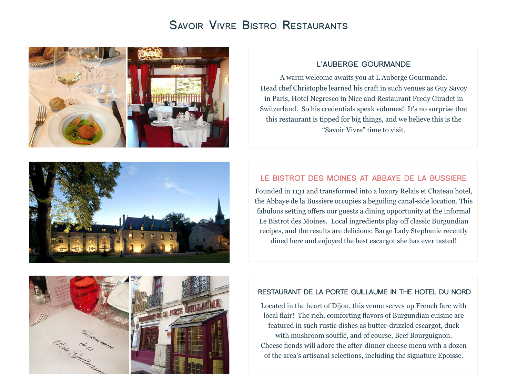# **Savoir Vivre Bistro Restaurants**





#### **L'AUBERGE GOURMANDE**

A warm welcome awaits you at L'Auberge Gourmande. Head chef Christophe learned his craft in such venues as Guy Savoy in Paris, Hotel Negresco in Nice and Restaurant Fredy Giradet in Switzerland. So his credentials speak volumes! It's no surprise that this restaurant is tipped for big things, and we believe this is the "Savoir Vivre" time to visit.

## **LE BISTROT DES MOINES AT ABBAYE DE LA BUSSIERE**

Founded in 1131 and transformed into a luxury Relais et Chateau hotel, the Abbaye de la Bussiere occupies a beguiling canal-side location. This fabulous setting offers our guests a dining opportunity at the informal Le Bistrot des Moines. Local ingredients play off classic Burgundian recipes, and the results are delicious: Barge Lady Stephanie recently dined here and enjoyed the best escargot she has ever tasted!



#### **RESTAURANT DE LA PORTE GUILLAUME IN THE HOTEL DU NORD**

Located in the heart of Dijon, this venue serves up French fare with local flair! The rich, comforting flavors of Burgundian cuisine are featured in such rustic dishes as butter-drizzled escargot, duck with mushroom soufflé, and of course, Beef Bourguignon. Cheese fiends will adore the after-dinner cheese menu with a dozen of the area's artisanal selections, including the signature Epoisse.